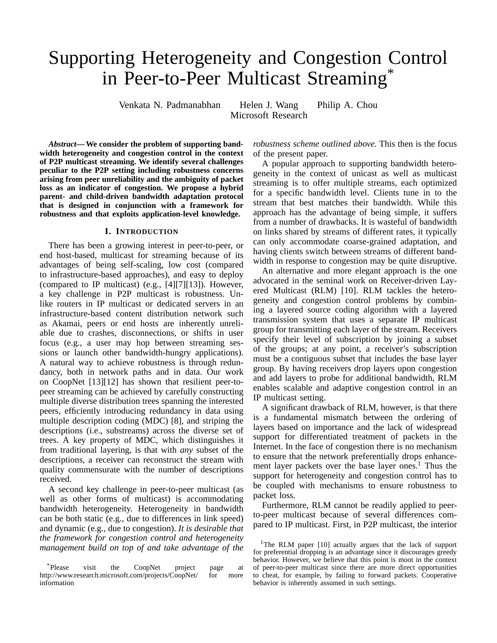# Supporting Heterogeneity and Congestion Control in Peer-to-Peer Multicast Streaming\*

Venkata N. Padmanabhan Helen J. Wang Philip A. Chou Microsoft Research

*Abstract***— We consider the problem of supporting bandwidth heterogeneity and congestion control in the context of P2P multicast streaming. We identify several challenges peculiar to the P2P setting including robustness concerns arising from peer unreliability and the ambiguity of packet loss as an indicator of congestion. We propose a hybrid parent- and child-driven bandwidth adaptation protocol that is designed in conjunction with a framework for robustness and that exploits application-level knowledge.**

### **I. INTRODUCTION**

There has been a growing interest in peer-to-peer, or end host-based, multicast for streaming because of its advantages of being self-scaling, low cost (compared to infrastructure-based approaches), and easy to deploy (compared to IP multicast) (e.g., [4][7][13]). However, a key challenge in P2P multicast is robustness. Unlike routers in IP multicast or dedicated servers in an infrastructure-based content distribution network such as Akamai, peers or end hosts are inherently unreliable due to crashes, disconnections, or shifts in user focus (e.g., a user may hop between streaming sessions or launch other bandwidth-hungry applications). A natural way to achieve robustness is through redundancy, both in network paths and in data. Our work on CoopNet [13][12] has shown that resilient peer-topeer streaming can be achieved by carefully constructing multiple diverse distribution trees spanning the interested peers, efficiently introducing redundancy in data using multiple description coding (MDC) [8], and striping the descriptions (i.e., substreams) across the diverse set of trees. A key property of MDC, which distinguishes it from traditional layering, is that with *any* subset of the descriptions, a receiver can reconstruct the stream with quality commensurate with the number of descriptions received.

A second key challenge in peer-to-peer multicast (as well as other forms of multicast) is accommodating bandwidth heterogeneity. Heterogeneity in bandwidth can be both static (e.g., due to differences in link speed) and dynamic (e.g., due to congestion). *It is desirable that the framework for congestion control and heterogeneity management build on top of and take advantage of the*

\*Please visit the CoopNet project page at http://www.research.microsoft.com/projects/CoopNet/ for more information

*robustness scheme outlined above.* This then is the focus of the present paper.

A popular approach to supporting bandwidth heterogeneity in the context of unicast as well as multicast streaming is to offer multiple streams, each optimized for a specific bandwidth level. Clients tune in to the stream that best matches their bandwidth. While this approach has the advantage of being simple, it suffers from a number of drawbacks. It is wasteful of bandwidth on links shared by streams of different rates, it typically can only accommodate coarse-grained adaptation, and having clients switch between streams of different bandwidth in response to congestion may be quite disruptive.

An alternative and more elegant approach is the one advocated in the seminal work on Receiver-driven Layered Multicast (RLM) [10]. RLM tackles the heterogeneity and congestion control problems by combining a layered source coding algorithm with a layered transmission system that uses a separate IP multicast group for transmitting each layer of the stream. Receivers specify their level of subscription by joining a subset of the groups; at any point, a receiver's subscription must be a contiguous subset that includes the base layer group. By having receivers drop layers upon congestion and add layers to probe for additional bandwidth, RLM enables scalable and adaptive congestion control in an IP multicast setting.

A significant drawback of RLM, however, is that there is a fundamental mismatch between the ordering of layers based on importance and the lack of widespread support for differentiated treatment of packets in the Internet. In the face of congestion there is no mechanism to ensure that the network preferentially drops enhancement layer packets over the base layer ones.<sup>1</sup> Thus the support for heterogeneity and congestion control has to be coupled with mechanisms to ensure robustness to packet loss.

Furthermore, RLM cannot be readily applied to peerto-peer multicast because of several differences compared to IP multicast. First, in P2P multicast, the interior

<sup>&</sup>lt;sup>1</sup>The RLM paper [10] actually argues that the lack of support for preferential dropping is an advantage since it discourages greedy behavior. However, we believe that this point is moot in the context of peer-to-peer multicast since there are more direct opportunities to cheat, for example, by failing to forward packets. Cooperative behavior is inherently assumed in such settings.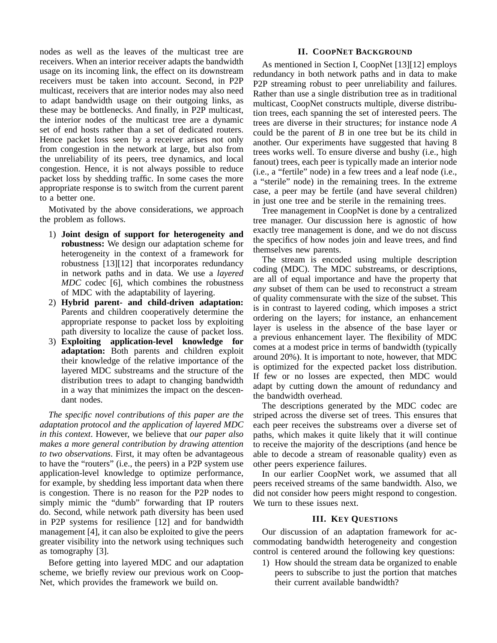nodes as well as the leaves of the multicast tree are receivers. When an interior receiver adapts the bandwidth usage on its incoming link, the effect on its downstream receivers must be taken into account. Second, in P2P multicast, receivers that are interior nodes may also need to adapt bandwidth usage on their outgoing links, as these may be bottlenecks. And finally, in P2P multicast, the interior nodes of the multicast tree are a dynamic set of end hosts rather than a set of dedicated routers. Hence packet loss seen by a receiver arises not only from congestion in the network at large, but also from the unreliability of its peers, tree dynamics, and local congestion. Hence, it is not always possible to reduce packet loss by shedding traffic. In some cases the more appropriate response is to switch from the current parent to a better one.

Motivated by the above considerations, we approach the problem as follows.

- 1) **Joint design of support for heterogeneity and robustness:** We design our adaptation scheme for heterogeneity in the context of a framework for robustness [13][12] that incorporates redundancy in network paths and in data. We use a *layered MDC* codec [6], which combines the robustness of MDC with the adaptability of layering.
- 2) **Hybrid parent- and child-driven adaptation:** Parents and children cooperatively determine the appropriate response to packet loss by exploiting path diversity to localize the cause of packet loss.
- 3) **Exploiting application-level knowledge for adaptation:** Both parents and children exploit their knowledge of the relative importance of the layered MDC substreams and the structure of the distribution trees to adapt to changing bandwidth in a way that minimizes the impact on the descendant nodes.

*The specific novel contributions of this paper are the adaptation protocol and the application of layered MDC in this context*. However, we believe that *our paper also makes a more general contribution by drawing attention to two observations*. First, it may often be advantageous to have the "routers" (i.e., the peers) in a P2P system use application-level knowledge to optimize performance, for example, by shedding less important data when there is congestion. There is no reason for the P2P nodes to simply mimic the "dumb" forwarding that IP routers do. Second, while network path diversity has been used in P2P systems for resilience [12] and for bandwidth management [4], it can also be exploited to give the peers greater visibility into the network using techniques such as tomography [3].

Before getting into layered MDC and our adaptation scheme, we briefly review our previous work on Coop-Net, which provides the framework we build on.

## **II. COOPNET BACKGROUND**

As mentioned in Section I, CoopNet [13][12] employs redundancy in both network paths and in data to make P2P streaming robust to peer unreliability and failures. Rather than use a single distribution tree as in traditional multicast, CoopNet constructs multiple, diverse distribution trees, each spanning the set of interested peers. The trees are diverse in their structures; for instance node *A* could be the parent of *B* in one tree but be its child in another. Our experiments have suggested that having 8 trees works well. To ensure diverse and bushy (i.e., high fanout) trees, each peer is typically made an interior node (i.e., a "fertile" node) in a few trees and a leaf node (i.e., a "sterile" node) in the remaining trees. In the extreme case, a peer may be fertile (and have several children) in just one tree and be sterile in the remaining trees.

Tree management in CoopNet is done by a centralized tree manager. Our discussion here is agnostic of how exactly tree management is done, and we do not discuss the specifics of how nodes join and leave trees, and find themselves new parents.

The stream is encoded using multiple description coding (MDC). The MDC substreams, or descriptions, are all of equal importance and have the property that *any* subset of them can be used to reconstruct a stream of quality commensurate with the size of the subset. This is in contrast to layered coding, which imposes a strict ordering on the layers; for instance, an enhancement layer is useless in the absence of the base layer or a previous enhancement layer. The flexibility of MDC comes at a modest price in terms of bandwidth (typically around 20%). It is important to note, however, that MDC is optimized for the expected packet loss distribution. If few or no losses are expected, then MDC would adapt by cutting down the amount of redundancy and the bandwidth overhead.

The descriptions generated by the MDC codec are striped across the diverse set of trees. This ensures that each peer receives the substreams over a diverse set of paths, which makes it quite likely that it will continue to receive the majority of the descriptions (and hence be able to decode a stream of reasonable quality) even as other peers experience failures.

In our earlier CoopNet work, we assumed that all peers received streams of the same bandwidth. Also, we did not consider how peers might respond to congestion. We turn to these issues next.

## **III. KEY QUESTIONS**

Our discussion of an adaptation framework for accommodating bandwidth heterogeneity and congestion control is centered around the following key questions:

1) How should the stream data be organized to enable peers to subscribe to just the portion that matches their current available bandwidth?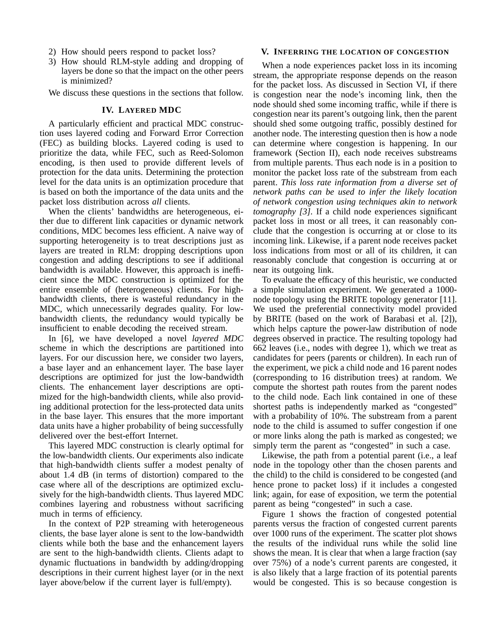- 2) How should peers respond to packet loss?
- 3) How should RLM-style adding and dropping of layers be done so that the impact on the other peers is minimized?

We discuss these questions in the sections that follow.

#### **IV. LAYERED MDC**

A particularly efficient and practical MDC construction uses layered coding and Forward Error Correction (FEC) as building blocks. Layered coding is used to prioritize the data, while FEC, such as Reed-Solomon encoding, is then used to provide different levels of protection for the data units. Determining the protection level for the data units is an optimization procedure that is based on both the importance of the data units and the packet loss distribution across *all* clients.

When the clients' bandwidths are heterogeneous, either due to different link capacities or dynamic network conditions, MDC becomes less efficient. A naive way of supporting heterogeneity is to treat descriptions just as layers are treated in RLM: dropping descriptions upon congestion and adding descriptions to see if additional bandwidth is available. However, this approach is inefficient since the MDC construction is optimized for the entire ensemble of (heterogeneous) clients. For highbandwidth clients, there is wasteful redundancy in the MDC, which unnecessarily degrades quality. For lowbandwidth clients, the redundancy would typically be insufficient to enable decoding the received stream.

In [6], we have developed a novel *layered MDC* scheme in which the descriptions are partitioned into layers. For our discussion here, we consider two layers, a base layer and an enhancement layer. The base layer descriptions are optimized for just the low-bandwidth clients. The enhancement layer descriptions are optimized for the high-bandwidth clients, while also providing additional protection for the less-protected data units in the base layer. This ensures that the more important data units have a higher probability of being successfully delivered over the best-effort Internet.

This layered MDC construction is clearly optimal for the low-bandwidth clients. Our experiments also indicate that high-bandwidth clients suffer a modest penalty of about 1.4 dB (in terms of distortion) compared to the case where all of the descriptions are optimized exclusively for the high-bandwidth clients. Thus layered MDC combines layering and robustness without sacrificing much in terms of efficiency.

In the context of P2P streaming with heterogeneous clients, the base layer alone is sent to the low-bandwidth clients while both the base and the enhancement layers are sent to the high-bandwidth clients. Clients adapt to dynamic fluctuations in bandwidth by adding/dropping descriptions in their current highest layer (or in the next layer above/below if the current layer is full/empty).

### **V. INFERRING THE LOCATION OF CONGESTION**

When a node experiences packet loss in its incoming stream, the appropriate response depends on the reason for the packet loss. As discussed in Section VI, if there is congestion near the node's incoming link, then the node should shed some incoming traffic, while if there is congestion near its parent's outgoing link, then the parent should shed some outgoing traffic, possibly destined for another node. The interesting question then is how a node can determine where congestion is happening. In our framework (Section II), each node receives substreams from multiple parents. Thus each node is in a position to monitor the packet loss rate of the substream from each parent. *This loss rate information from a diverse set of network paths can be used to infer the likely location of network congestion using techniques akin to network tomography [3].* If a child node experiences significant packet loss in most or all trees, it can reasonably conclude that the congestion is occurring at or close to its incoming link. Likewise, if a parent node receives packet loss indications from most or all of its children, it can reasonably conclude that congestion is occurring at or near its outgoing link.

To evaluate the efficacy of this heuristic, we conducted a simple simulation experiment. We generated a 1000 node topology using the BRITE topology generator [11]. We used the preferential connectivity model provided by BRITE (based on the work of Barabasi et al. [2]), which helps capture the power-law distribution of node degrees observed in practice. The resulting topology had 662 leaves (i.e., nodes with degree 1), which we treat as candidates for peers (parents or children). In each run of the experiment, we pick a child node and 16 parent nodes (corresponding to 16 distribution trees) at random. We compute the shortest path routes from the parent nodes to the child node. Each link contained in one of these shortest paths is independently marked as "congested" with a probability of 10%. The substream from a parent node to the child is assumed to suffer congestion if one or more links along the path is marked as congested; we simply term the parent as "congested" in such a case.

Likewise, the path from a potential parent (i.e., a leaf node in the topology other than the chosen parents and the child) to the child is considered to be congested (and hence prone to packet loss) if it includes a congested link; again, for ease of exposition, we term the potential parent as being "congested" in such a case.

Figure 1 shows the fraction of congested potential parents versus the fraction of congested current parents over 1000 runs of the experiment. The scatter plot shows the results of the individual runs while the solid line shows the mean. It is clear that when a large fraction (say over 75%) of a node's current parents are congested, it is also likely that a large fraction of its potential parents would be congested. This is so because congestion is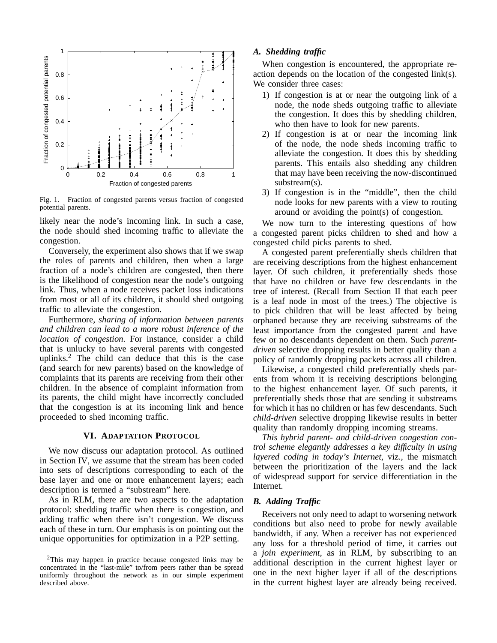

Fig. 1. Fraction of congested parents versus fraction of congested potential parents.

likely near the node's incoming link. In such a case, the node should shed incoming traffic to alleviate the congestion.

Conversely, the experiment also shows that if we swap the roles of parents and children, then when a large fraction of a node's children are congested, then there is the likelihood of congestion near the node's outgoing link. Thus, when a node receives packet loss indications from most or all of its children, it should shed outgoing traffic to alleviate the congestion.

Furthermore, *sharing of information between parents and children can lead to a more robust inference of the location of congestion*. For instance, consider a child that is unlucky to have several parents with congested uplinks.<sup>2</sup> The child can deduce that this is the case (and search for new parents) based on the knowledge of complaints that its parents are receiving from their other children. In the absence of complaint information from its parents, the child might have incorrectly concluded that the congestion is at its incoming link and hence proceeded to shed incoming traffic.

#### **VI. ADAPTATION PROTOCOL**

We now discuss our adaptation protocol. As outlined in Section IV, we assume that the stream has been coded into sets of descriptions corresponding to each of the base layer and one or more enhancement layers; each description is termed a "substream" here.

As in RLM, there are two aspects to the adaptation protocol: shedding traffic when there is congestion, and adding traffic when there isn't congestion. We discuss each of these in turn. Our emphasis is on pointing out the unique opportunities for optimization in a P2P setting.

## *A. Shedding traffic*

When congestion is encountered, the appropriate reaction depends on the location of the congested link(s). We consider three cases:

- 1) If congestion is at or near the outgoing link of a node, the node sheds outgoing traffic to alleviate the congestion. It does this by shedding children, who then have to look for new parents.
- 2) If congestion is at or near the incoming link of the node, the node sheds incoming traffic to alleviate the congestion. It does this by shedding parents. This entails also shedding any children that may have been receiving the now-discontinued substream(s).
- 3) If congestion is in the "middle", then the child node looks for new parents with a view to routing around or avoiding the point(s) of congestion.

We now turn to the interesting questions of how a congested parent picks children to shed and how a congested child picks parents to shed.

A congested parent preferentially sheds children that are receiving descriptions from the highest enhancement layer. Of such children, it preferentially sheds those that have no children or have few descendants in the tree of interest. (Recall from Section II that each peer is a leaf node in most of the trees.) The objective is to pick children that will be least affected by being orphaned because they are receiving substreams of the least importance from the congested parent and have few or no descendants dependent on them. Such *parentdriven* selective dropping results in better quality than a policy of randomly dropping packets across all children.

Likewise, a congested child preferentially sheds parents from whom it is receiving descriptions belonging to the highest enhancement layer. Of such parents, it preferentially sheds those that are sending it substreams for which it has no children or has few descendants. Such *child-driven* selective dropping likewise results in better quality than randomly dropping incoming streams.

*This hybrid parent- and child-driven congestion control scheme elegantly addresses a key difficulty in using layered coding in today's Internet*, viz., the mismatch between the prioritization of the layers and the lack of widespread support for service differentiation in the Internet.

## *B. Adding Traffic*

Receivers not only need to adapt to worsening network conditions but also need to probe for newly available bandwidth, if any. When a receiver has not experienced any loss for a threshold period of time, it carries out a *join experiment*, as in RLM, by subscribing to an additional description in the current highest layer or one in the next higher layer if all of the descriptions in the current highest layer are already being received.

<sup>&</sup>lt;sup>2</sup>This may happen in practice because congested links may be concentrated in the "last-mile" to/from peers rather than be spread uniformly throughout the network as in our simple experiment described above.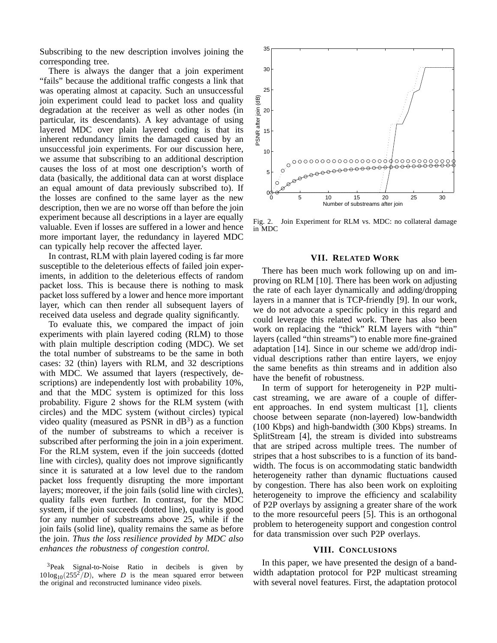Subscribing to the new description involves joining the corresponding tree.

There is always the danger that a join experiment "fails" because the additional traffic congests a link that was operating almost at capacity. Such an unsuccessful join experiment could lead to packet loss and quality degradation at the receiver as well as other nodes (in particular, its descendants). A key advantage of using layered MDC over plain layered coding is that its inherent redundancy limits the damaged caused by an unsuccessful join experiments. For our discussion here, we assume that subscribing to an additional description causes the loss of at most one description's worth of data (basically, the additional data can at worst displace an equal amount of data previously subscribed to). If the losses are confined to the same layer as the new description, then we are no worse off than before the join experiment because all descriptions in a layer are equally valuable. Even if losses are suffered in a lower and hence more important layer, the redundancy in layered MDC can typically help recover the affected layer.

In contrast, RLM with plain layered coding is far more susceptible to the deleterious effects of failed join experiments, in addition to the deleterious effects of random packet loss. This is because there is nothing to mask packet loss suffered by a lower and hence more important layer, which can then render all subsequent layers of received data useless and degrade quality significantly.

To evaluate this, we compared the impact of join experiments with plain layered coding (RLM) to those with plain multiple description coding (MDC). We set the total number of substreams to be the same in both cases: 32 (thin) layers with RLM, and 32 descriptions with MDC. We assumed that layers (respectively, descriptions) are independently lost with probability 10%, and that the MDC system is optimized for this loss probability. Figure 2 shows for the RLM system (with circles) and the MDC system (without circles) typical video quality (measured as PSNR in  $dB<sup>3</sup>$ ) as a function of the number of substreams to which a receiver is subscribed after performing the join in a join experiment. For the RLM system, even if the join succeeds (dotted line with circles), quality does not improve significantly since it is saturated at a low level due to the random packet loss frequently disrupting the more important layers; moreover, if the join fails (solid line with circles), quality falls even further. In contrast, for the MDC system, if the join succeeds (dotted line), quality is good for any number of substreams above 25, while if the join fails (solid line), quality remains the same as before the join. *Thus the loss resilience provided by MDC also enhances the robustness of congestion control.*





Fig. 2. Join Experiment for RLM vs. MDC: no collateral damage in MDC

#### **VII. RELATED WORK**

There has been much work following up on and improving on RLM [10]. There has been work on adjusting the rate of each layer dynamically and adding/dropping layers in a manner that is TCP-friendly [9]. In our work, we do not advocate a specific policy in this regard and could leverage this related work. There has also been work on replacing the "thick" RLM layers with "thin" layers (called "thin streams") to enable more fine-grained adaptation [14]. Since in our scheme we add/drop individual descriptions rather than entire layers, we enjoy the same benefits as thin streams and in addition also have the benefit of robustness.

In term of support for heterogeneity in P2P multicast streaming, we are aware of a couple of different approaches. In end system multicast [1], clients choose between separate (non-layered) low-bandwidth (100 Kbps) and high-bandwidth (300 Kbps) streams. In SplitStream [4], the stream is divided into substreams that are striped across multiple trees. The number of stripes that a host subscribes to is a function of its bandwidth. The focus is on accommodating static bandwidth heterogeneity rather than dynamic fluctuations caused by congestion. There has also been work on exploiting heterogeneity to improve the efficiency and scalability of P2P overlays by assigning a greater share of the work to the more resourceful peers [5]. This is an orthogonal problem to heterogeneity support and congestion control for data transmission over such P2P overlays.

#### **VIII. CONCLUSIONS**

In this paper, we have presented the design of a bandwidth adaptation protocol for P2P multicast streaming with several novel features. First, the adaptation protocol